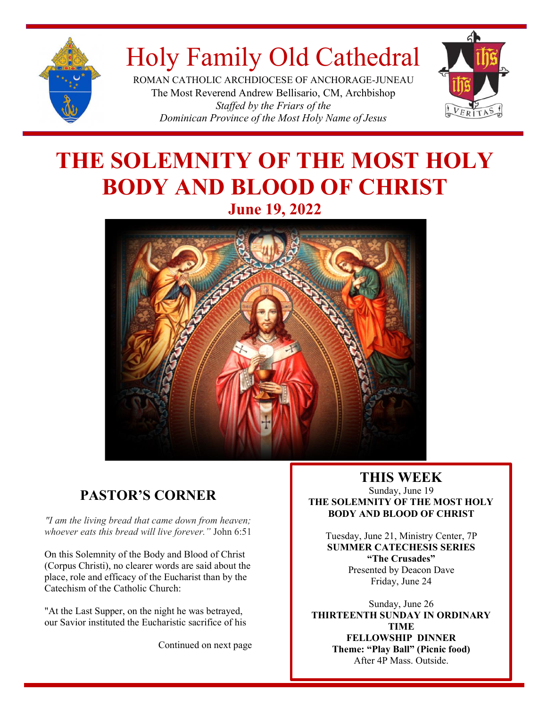

# Holy Family Old Cathedral

ROMAN CATHOLIC ARCHDIOCESE OF ANCHORAGE-JUNEAU The Most Reverend Andrew Bellisario, CM, Archbishop *Staffed by the Friars of the Dominican Province of the Most Holy Name of Jesus*



# **THE SOLEMNITY OF THE MOST HOLY BODY AND BLOOD OF CHRIST June 19, 2022**



### **PASTOR'S CORNER**

*"I am the living bread that came down from heaven; whoever eats this bread will live forever."* John 6:51

On this Solemnity of the Body and Blood of Christ<br>(Corpus Christi), no clearer words are said about the On this Solemnity of the Body and Blood of Christ place, role and efficacy of the Eucharist than by the Catechism of the Catholic Church:

"At the Last Supper, on the night he was betrayed, our Savior instituted the Eucharistic sacrifice of his

Continued on next page

### **THIS WEEK**

Sunday, June 19 **THE SOLEMNITY OF THE MOST HOLY BODY AND BLOOD OF CHRIST**

Tuesday, June 21, Ministry Center, 7P **SUMMER CATECHESIS SERIES "The Crusades"** Presented by Deacon Dave Friday, June 24

Sunday, June 26 **THIRTEENTH SUNDAY IN ORDINARY TIME FELLOWSHIP DINNER Theme: "Play Ball" (Picnic food)** After 4P Mass. Outside.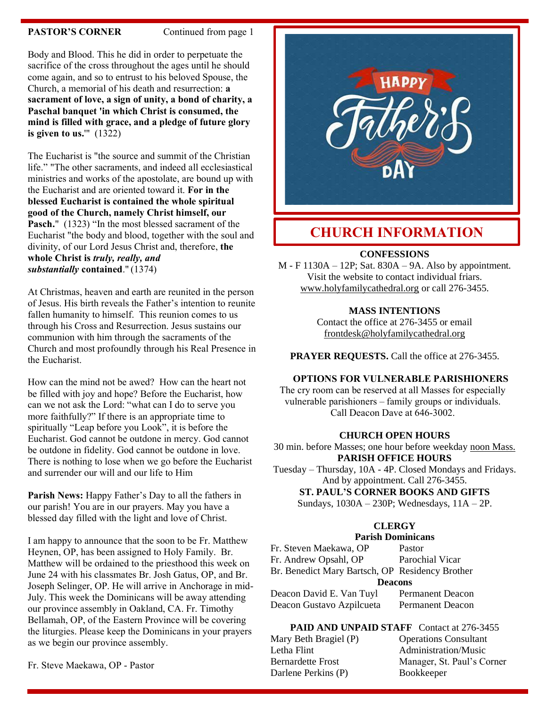#### **PASTOR'S CORNER** Continued from page 1

Body and Blood. This he did in order to perpetuate the sacrifice of the cross throughout the ages until he should come again, and so to entrust to his beloved Spouse, the Church, a memorial of his death and resurrection: **a sacrament of love, a sign of unity, a bond of charity, a Paschal banquet 'in which Christ is consumed, the mind is filled with grace, and a pledge of future glory is given to us.**'" (1322)

The Eucharist is "the source and summit of the Christian life." "The other sacraments, and indeed all ecclesiastical ministries and works of the apostolate, are bound up with the Eucharist and are oriented toward it. **For in the blessed Eucharist is contained the whole spiritual good of the Church, namely Christ himself, our**  Pasch." (1323) "In the most blessed sacrament of the Eucharist "the body and blood, together with the soul and divinity, of our Lord Jesus Christ and, therefore, **the whole Christ is** *truly, really, and substantially* **contained**." (1374)

At Christmas, heaven and earth are reunited in the person of Jesus. His birth reveals the Father's intention to reunite fallen humanity to himself. This reunion comes to us through his Cross and Resurrection. Jesus sustains our communion with him through the sacraments of the Church and most profoundly through his Real Presence in the Eucharist.

How can the mind not be awed? How can the heart not be filled with joy and hope? Before the Eucharist, how can we not ask the Lord: "what can I do to serve you more faithfully?" If there is an appropriate time to spiritually "Leap before you Look", it is before the Eucharist. God cannot be outdone in mercy. God cannot be outdone in fidelity. God cannot be outdone in love. There is nothing to lose when we go before the Eucharist and surrender our will and our life to Him

**Parish News:** Happy Father's Day to all the fathers in our parish! You are in our prayers. May you have a blessed day filled with the light and love of Christ.

I am happy to announce that the soon to be Fr. Matthew Heynen, OP, has been assigned to Holy Family. Br. Matthew will be ordained to the priesthood this week on June 24 with his classmates Br. Josh Gatus, OP, and Br. Joseph Selinger, OP. He will arrive in Anchorage in mid-July. This week the Dominicans will be away attending our province assembly in Oakland, CA. Fr. Timothy Bellamah, OP, of the Eastern Province will be covering the liturgies. Please keep the Dominicans in your prayers as we begin our province assembly.

Fr. Steve Maekawa, OP - Pastor



### **CHURCH INFORMATION**

#### **CONFESSIONS**

M - F 1130A – 12P; Sat. 830A – 9A. Also by appointment. Visit the website to contact individual friars. [www.holyfamilycathedral.org](http://www.holyfamilycathedral.org/) or call 276-3455.

#### **MASS INTENTIONS**

Contact the office at 276-3455 or email [frontdesk@holyfamilycathedral.org](mailto:frontdesk@holyfamilycathedral.org)

**PRAYER REQUESTS.** Call the office at 276-3455.

#### **OPTIONS FOR VULNERABLE PARISHIONERS**

The cry room can be reserved at all Masses for especially vulnerable parishioners – family groups or individuals. Call Deacon Dave at 646-3002.

#### **CHURCH OPEN HOURS**

30 min. before Masses; one hour before weekday noon Mass. **PARISH OFFICE HOURS**

Tuesday – Thursday, 10A - 4P. Closed Mondays and Fridays. And by appointment. Call 276-3455.

**ST. PAUL'S CORNER BOOKS AND GIFTS**

Sundays, 1030A – 230P; Wednesdays, 11A – 2P.

#### **CLERGY**

#### **Parish Dominicans**

| Fr. Steven Maekawa, OP                          | Pastor                  |  |
|-------------------------------------------------|-------------------------|--|
| Fr. Andrew Opsahl, OP                           | Parochial Vicar         |  |
| Br. Benedict Mary Bartsch, OP Residency Brother |                         |  |
| <b>Deacons</b>                                  |                         |  |
| Deacon David E. Van Tuyl                        | <b>Permanent Deacon</b> |  |
|                                                 |                         |  |

**PAID AND UNPAID STAFF** Contact at 276-3455

| Mary Beth Bragiel (P)    | <b>Operations Consultant</b> |
|--------------------------|------------------------------|
| Letha Flint              | Administration/Music         |
| <b>Bernardette Frost</b> | Manager, St. Paul's Co       |
| Darlene Perkins (P)      | Bookkeeper                   |

Bernardette Frost Manager, St. Paul's Corner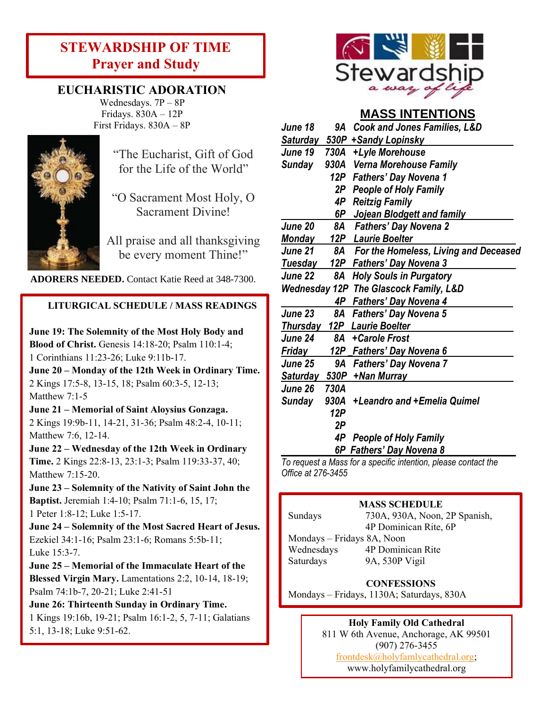### **STEWARDSHIP OF TIME Prayer and Study**

### **EUCHARISTIC ADORATION**

Wednesdays. 7P – 8P Fridays. 830A – 12P First Fridays. 830A – 8P



"The Eucharist, Gift of God for the Life of the World"

"O Sacrament Most Holy, O Sacrament Divine!

All praise and all thanksgiving be every moment Thine!"

**ADORERS NEEDED.** Contact Katie Reed at 348-7300.

### **LITURGICAL SCHEDULE / MASS READINGS**

**June 19: The Solemnity of the Most Holy Body and Blood of Christ.** Genesis 14:18-20; Psalm 110:1-4; 1 Corinthians 11:23-26; Luke 9:11b-17. **June 20 – Monday of the 12th Week in Ordinary Time.**  2 Kings 17:5-8, 13-15, 18; Psalm 60:3-5, 12-13; Matthew 7:1-5 **June 21 – Memorial of Saint Aloysius Gonzaga.**  2 Kings 19:9b-11, 14-21, 31-36; Psalm 48:2-4, 10-11; Matthew 7:6, 12-14. **June 22 – Wednesday of the 12th Week in Ordinary Time.** 2 Kings 22:8-13, 23:1-3; Psalm 119:33-37, 40; Matthew 7:15-20. **June 23 – Solemnity of the Nativity of Saint John the Baptist.** Jeremiah 1:4-10; Psalm 71:1-6, 15, 17; 1 Peter 1:8-12; Luke 1:5-17. **June 24 – Solemnity of the Most Sacred Heart of Jesus.** Ezekiel 34:1-16; Psalm 23:1-6; Romans 5:5b-11;

Luke 15:3-7. **June 25 – Memorial of the Immaculate Heart of the Blessed Virgin Mary.** Lamentations 2:2, 10-14, 18-19; Psalm 74:1b-7, 20-21; Luke 2:41-51

**June 26: Thirteenth Sunday in Ordinary Time.** 1 Kings 19:16b, 19-21; Psalm 16:1-2, 5, 7-11; Galatians 5:1, 13-18; Luke 9:51-62.

Luke 9:51-62.



### **MASS INTENTIONS**

| June 18         | 9A   | <b>Cook and Jones Families, L&amp;D</b>           |
|-----------------|------|---------------------------------------------------|
|                 |      | Saturday 530P + Sandy Lopinsky                    |
| June 19         |      | 730A +Lyle Morehouse                              |
| <b>Sunday</b>   |      | 930A Verna Morehouse Family                       |
|                 |      | 12P Fathers' Day Novena 1                         |
|                 |      | 2P People of Holy Family                          |
|                 | 4P   | <b>Reitzig Family</b>                             |
|                 | 6P   | Jojean Blodgett and family                        |
| <b>June 20</b>  | 8A   | <b>Fathers' Day Novena 2</b>                      |
| <u>Monday</u>   |      | 12P Laurie Boelter                                |
| June 21         |      | 8A For the Homeless, Living and Deceased          |
|                 |      | <b>Tuesday</b> 12P Fathers' Day Novena 3          |
| June 22         | 8A   | <b>Holy Souls in Purgatory</b>                    |
|                 |      | <b>Wednesday 12P The Glascock Family, L&amp;D</b> |
|                 |      | 4P Fathers' Day Novena 4                          |
| <b>June 23</b>  | 8A   | <b>Fathers' Day Novena 5</b>                      |
| <u>Thursday</u> |      | <b>12P</b> Laurie Boelter                         |
| June 24         |      | 8A + Carole Frost                                 |
| Friday          |      | 12P Fathers' Day Novena 6                         |
| <b>June 25</b>  | 9A   | <b>Fathers' Day Novena 7</b>                      |
| <u>Saturday</u> |      | 530P + Nan Murray                                 |
| June 26         | 730A |                                                   |
| Sunday          |      | 930A +Leandro and +Emelia Quimel                  |
|                 | 12P  |                                                   |
|                 | 2Р   |                                                   |
|                 | 4P   | <b>People of Holy Family</b>                      |
|                 |      | 6P Fathers' Day Novena 8                          |

*To request a Mass for a specific intention, please contact the Office at 276-3455*

#### **MASS SCHEDULE**

Mondays – Fridays 8A, Noon Wednesdays 4P Dominican Rite

Sundays 730A, 930A, Noon, 2P Spanish, 4P Dominican Rite, 6P

Saturdays 9A, 530P Vigil

#### **CONFESSIONS**

Mondays – Fridays, 1130A; Saturdays, 830A

#### **Holy Family Old Cathedral**

811 W 6th Avenue, Anchorage, AK 99501 (907) 276-3455 [frontdesk@holyfamlycathedral.org;](mailto:frontdesk@holyfamlycathedral.org) [www.holyfamilycathedral.org](http://www.holyfamilycathedral.org/)